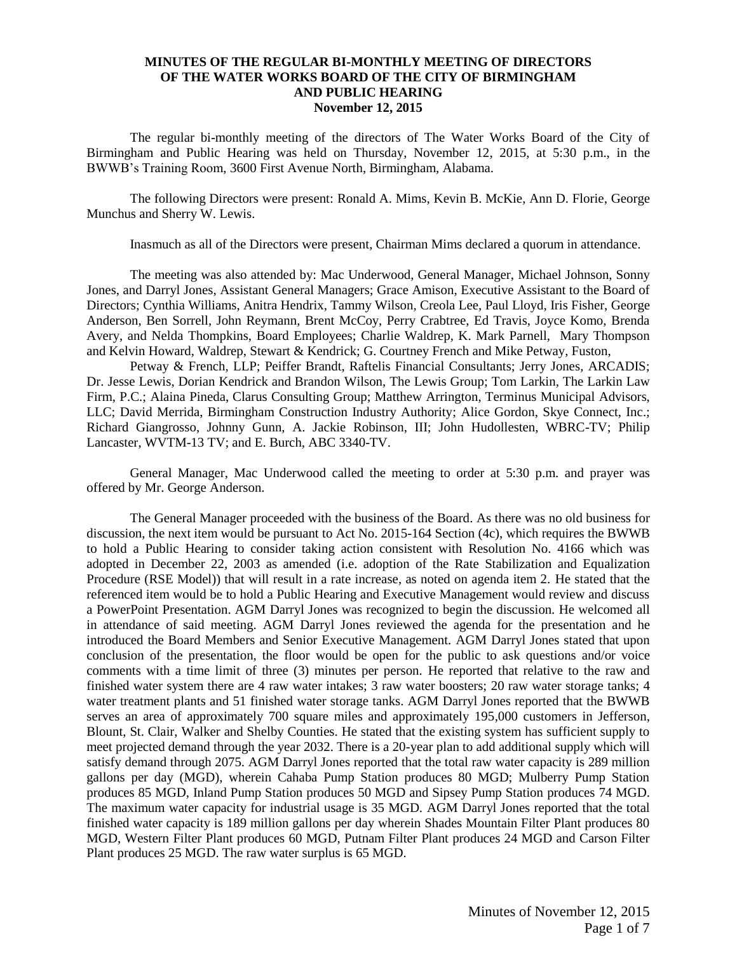## **MINUTES OF THE REGULAR BI-MONTHLY MEETING OF DIRECTORS OF THE WATER WORKS BOARD OF THE CITY OF BIRMINGHAM AND PUBLIC HEARING November 12, 2015**

The regular bi-monthly meeting of the directors of The Water Works Board of the City of Birmingham and Public Hearing was held on Thursday, November 12, 2015, at 5:30 p.m., in the BWWB's Training Room, 3600 First Avenue North, Birmingham, Alabama.

The following Directors were present: Ronald A. Mims, Kevin B. McKie, Ann D. Florie, George Munchus and Sherry W. Lewis.

Inasmuch as all of the Directors were present, Chairman Mims declared a quorum in attendance.

The meeting was also attended by: Mac Underwood, General Manager, Michael Johnson, Sonny Jones, and Darryl Jones, Assistant General Managers; Grace Amison, Executive Assistant to the Board of Directors; Cynthia Williams, Anitra Hendrix, Tammy Wilson, Creola Lee, Paul Lloyd, Iris Fisher, George Anderson, Ben Sorrell, John Reymann, Brent McCoy, Perry Crabtree, Ed Travis, Joyce Komo, Brenda Avery, and Nelda Thompkins, Board Employees; Charlie Waldrep, K. Mark Parnell, Mary Thompson and Kelvin Howard, Waldrep, Stewart & Kendrick; G. Courtney French and Mike Petway, Fuston,

Petway & French, LLP; Peiffer Brandt, Raftelis Financial Consultants; Jerry Jones, ARCADIS; Dr. Jesse Lewis, Dorian Kendrick and Brandon Wilson, The Lewis Group; Tom Larkin, The Larkin Law Firm, P.C.; Alaina Pineda, Clarus Consulting Group; Matthew Arrington, Terminus Municipal Advisors, LLC; David Merrida, Birmingham Construction Industry Authority; Alice Gordon, Skye Connect, Inc.; Richard Giangrosso, Johnny Gunn, A. Jackie Robinson, III; John Hudollesten, WBRC-TV; Philip Lancaster, WVTM-13 TV; and E. Burch, ABC 3340-TV.

General Manager, Mac Underwood called the meeting to order at 5:30 p.m. and prayer was offered by Mr. George Anderson.

The General Manager proceeded with the business of the Board. As there was no old business for discussion, the next item would be pursuant to Act No. 2015-164 Section (4c), which requires the BWWB to hold a Public Hearing to consider taking action consistent with Resolution No. 4166 which was adopted in December 22, 2003 as amended (i.e. adoption of the Rate Stabilization and Equalization Procedure (RSE Model)) that will result in a rate increase, as noted on agenda item 2. He stated that the referenced item would be to hold a Public Hearing and Executive Management would review and discuss a PowerPoint Presentation. AGM Darryl Jones was recognized to begin the discussion. He welcomed all in attendance of said meeting. AGM Darryl Jones reviewed the agenda for the presentation and he introduced the Board Members and Senior Executive Management. AGM Darryl Jones stated that upon conclusion of the presentation, the floor would be open for the public to ask questions and/or voice comments with a time limit of three (3) minutes per person. He reported that relative to the raw and finished water system there are 4 raw water intakes; 3 raw water boosters; 20 raw water storage tanks; 4 water treatment plants and 51 finished water storage tanks. AGM Darryl Jones reported that the BWWB serves an area of approximately 700 square miles and approximately 195,000 customers in Jefferson, Blount, St. Clair, Walker and Shelby Counties. He stated that the existing system has sufficient supply to meet projected demand through the year 2032. There is a 20-year plan to add additional supply which will satisfy demand through 2075. AGM Darryl Jones reported that the total raw water capacity is 289 million gallons per day (MGD), wherein Cahaba Pump Station produces 80 MGD; Mulberry Pump Station produces 85 MGD, Inland Pump Station produces 50 MGD and Sipsey Pump Station produces 74 MGD. The maximum water capacity for industrial usage is 35 MGD. AGM Darryl Jones reported that the total finished water capacity is 189 million gallons per day wherein Shades Mountain Filter Plant produces 80 MGD, Western Filter Plant produces 60 MGD, Putnam Filter Plant produces 24 MGD and Carson Filter Plant produces 25 MGD. The raw water surplus is 65 MGD.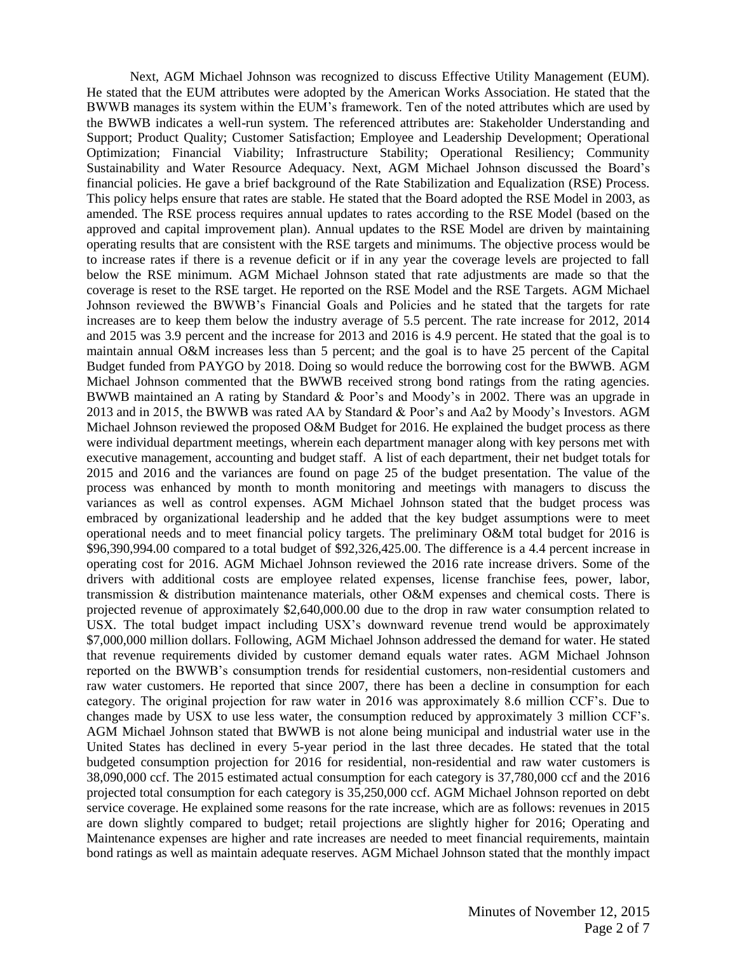Next, AGM Michael Johnson was recognized to discuss Effective Utility Management (EUM). He stated that the EUM attributes were adopted by the American Works Association. He stated that the BWWB manages its system within the EUM's framework. Ten of the noted attributes which are used by the BWWB indicates a well-run system. The referenced attributes are: Stakeholder Understanding and Support; Product Quality; Customer Satisfaction; Employee and Leadership Development; Operational Optimization; Financial Viability; Infrastructure Stability; Operational Resiliency; Community Sustainability and Water Resource Adequacy. Next, AGM Michael Johnson discussed the Board's financial policies. He gave a brief background of the Rate Stabilization and Equalization (RSE) Process. This policy helps ensure that rates are stable. He stated that the Board adopted the RSE Model in 2003, as amended. The RSE process requires annual updates to rates according to the RSE Model (based on the approved and capital improvement plan). Annual updates to the RSE Model are driven by maintaining operating results that are consistent with the RSE targets and minimums. The objective process would be to increase rates if there is a revenue deficit or if in any year the coverage levels are projected to fall below the RSE minimum. AGM Michael Johnson stated that rate adjustments are made so that the coverage is reset to the RSE target. He reported on the RSE Model and the RSE Targets. AGM Michael Johnson reviewed the BWWB's Financial Goals and Policies and he stated that the targets for rate increases are to keep them below the industry average of 5.5 percent. The rate increase for 2012, 2014 and 2015 was 3.9 percent and the increase for 2013 and 2016 is 4.9 percent. He stated that the goal is to maintain annual O&M increases less than 5 percent; and the goal is to have 25 percent of the Capital Budget funded from PAYGO by 2018. Doing so would reduce the borrowing cost for the BWWB. AGM Michael Johnson commented that the BWWB received strong bond ratings from the rating agencies. BWWB maintained an A rating by Standard & Poor's and Moody's in 2002. There was an upgrade in 2013 and in 2015, the BWWB was rated AA by Standard & Poor's and Aa2 by Moody's Investors. AGM Michael Johnson reviewed the proposed O&M Budget for 2016. He explained the budget process as there were individual department meetings, wherein each department manager along with key persons met with executive management, accounting and budget staff. A list of each department, their net budget totals for 2015 and 2016 and the variances are found on page 25 of the budget presentation. The value of the process was enhanced by month to month monitoring and meetings with managers to discuss the variances as well as control expenses. AGM Michael Johnson stated that the budget process was embraced by organizational leadership and he added that the key budget assumptions were to meet operational needs and to meet financial policy targets. The preliminary O&M total budget for 2016 is \$96,390,994.00 compared to a total budget of \$92,326,425.00. The difference is a 4.4 percent increase in operating cost for 2016. AGM Michael Johnson reviewed the 2016 rate increase drivers. Some of the drivers with additional costs are employee related expenses, license franchise fees, power, labor, transmission & distribution maintenance materials, other O&M expenses and chemical costs. There is projected revenue of approximately \$2,640,000.00 due to the drop in raw water consumption related to USX. The total budget impact including USX's downward revenue trend would be approximately \$7,000,000 million dollars. Following, AGM Michael Johnson addressed the demand for water. He stated that revenue requirements divided by customer demand equals water rates. AGM Michael Johnson reported on the BWWB's consumption trends for residential customers, non-residential customers and raw water customers. He reported that since 2007, there has been a decline in consumption for each category. The original projection for raw water in 2016 was approximately 8.6 million CCF's. Due to changes made by USX to use less water, the consumption reduced by approximately 3 million CCF's. AGM Michael Johnson stated that BWWB is not alone being municipal and industrial water use in the United States has declined in every 5-year period in the last three decades. He stated that the total budgeted consumption projection for 2016 for residential, non-residential and raw water customers is 38,090,000 ccf. The 2015 estimated actual consumption for each category is 37,780,000 ccf and the 2016 projected total consumption for each category is 35,250,000 ccf. AGM Michael Johnson reported on debt service coverage. He explained some reasons for the rate increase, which are as follows: revenues in 2015 are down slightly compared to budget; retail projections are slightly higher for 2016; Operating and Maintenance expenses are higher and rate increases are needed to meet financial requirements, maintain bond ratings as well as maintain adequate reserves. AGM Michael Johnson stated that the monthly impact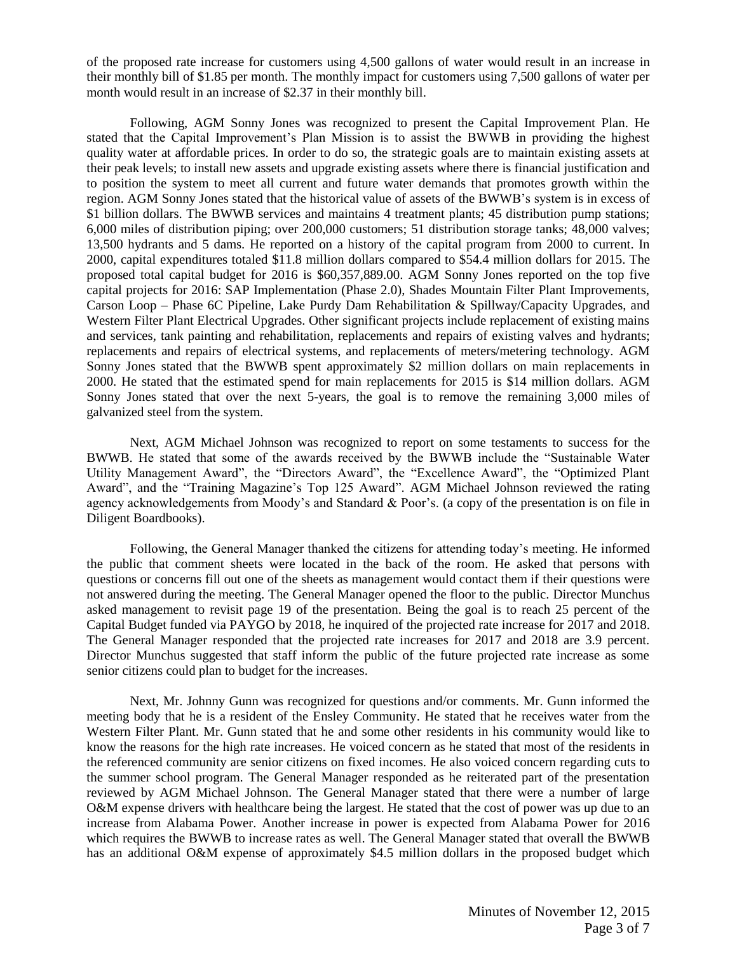of the proposed rate increase for customers using 4,500 gallons of water would result in an increase in their monthly bill of \$1.85 per month. The monthly impact for customers using 7,500 gallons of water per month would result in an increase of \$2.37 in their monthly bill.

Following, AGM Sonny Jones was recognized to present the Capital Improvement Plan. He stated that the Capital Improvement's Plan Mission is to assist the BWWB in providing the highest quality water at affordable prices. In order to do so, the strategic goals are to maintain existing assets at their peak levels; to install new assets and upgrade existing assets where there is financial justification and to position the system to meet all current and future water demands that promotes growth within the region. AGM Sonny Jones stated that the historical value of assets of the BWWB's system is in excess of \$1 billion dollars. The BWWB services and maintains 4 treatment plants; 45 distribution pump stations; 6,000 miles of distribution piping; over 200,000 customers; 51 distribution storage tanks; 48,000 valves; 13,500 hydrants and 5 dams. He reported on a history of the capital program from 2000 to current. In 2000, capital expenditures totaled \$11.8 million dollars compared to \$54.4 million dollars for 2015. The proposed total capital budget for 2016 is \$60,357,889.00. AGM Sonny Jones reported on the top five capital projects for 2016: SAP Implementation (Phase 2.0), Shades Mountain Filter Plant Improvements, Carson Loop – Phase 6C Pipeline, Lake Purdy Dam Rehabilitation & Spillway/Capacity Upgrades, and Western Filter Plant Electrical Upgrades. Other significant projects include replacement of existing mains and services, tank painting and rehabilitation, replacements and repairs of existing valves and hydrants; replacements and repairs of electrical systems, and replacements of meters/metering technology. AGM Sonny Jones stated that the BWWB spent approximately \$2 million dollars on main replacements in 2000. He stated that the estimated spend for main replacements for 2015 is \$14 million dollars. AGM Sonny Jones stated that over the next 5-years, the goal is to remove the remaining 3,000 miles of galvanized steel from the system.

Next, AGM Michael Johnson was recognized to report on some testaments to success for the BWWB. He stated that some of the awards received by the BWWB include the "Sustainable Water Utility Management Award", the "Directors Award", the "Excellence Award", the "Optimized Plant Award", and the "Training Magazine's Top 125 Award". AGM Michael Johnson reviewed the rating agency acknowledgements from Moody's and Standard & Poor's. (a copy of the presentation is on file in Diligent Boardbooks).

Following, the General Manager thanked the citizens for attending today's meeting. He informed the public that comment sheets were located in the back of the room. He asked that persons with questions or concerns fill out one of the sheets as management would contact them if their questions were not answered during the meeting. The General Manager opened the floor to the public. Director Munchus asked management to revisit page 19 of the presentation. Being the goal is to reach 25 percent of the Capital Budget funded via PAYGO by 2018, he inquired of the projected rate increase for 2017 and 2018. The General Manager responded that the projected rate increases for 2017 and 2018 are 3.9 percent. Director Munchus suggested that staff inform the public of the future projected rate increase as some senior citizens could plan to budget for the increases.

Next, Mr. Johnny Gunn was recognized for questions and/or comments. Mr. Gunn informed the meeting body that he is a resident of the Ensley Community. He stated that he receives water from the Western Filter Plant. Mr. Gunn stated that he and some other residents in his community would like to know the reasons for the high rate increases. He voiced concern as he stated that most of the residents in the referenced community are senior citizens on fixed incomes. He also voiced concern regarding cuts to the summer school program. The General Manager responded as he reiterated part of the presentation reviewed by AGM Michael Johnson. The General Manager stated that there were a number of large O&M expense drivers with healthcare being the largest. He stated that the cost of power was up due to an increase from Alabama Power. Another increase in power is expected from Alabama Power for 2016 which requires the BWWB to increase rates as well. The General Manager stated that overall the BWWB has an additional O&M expense of approximately \$4.5 million dollars in the proposed budget which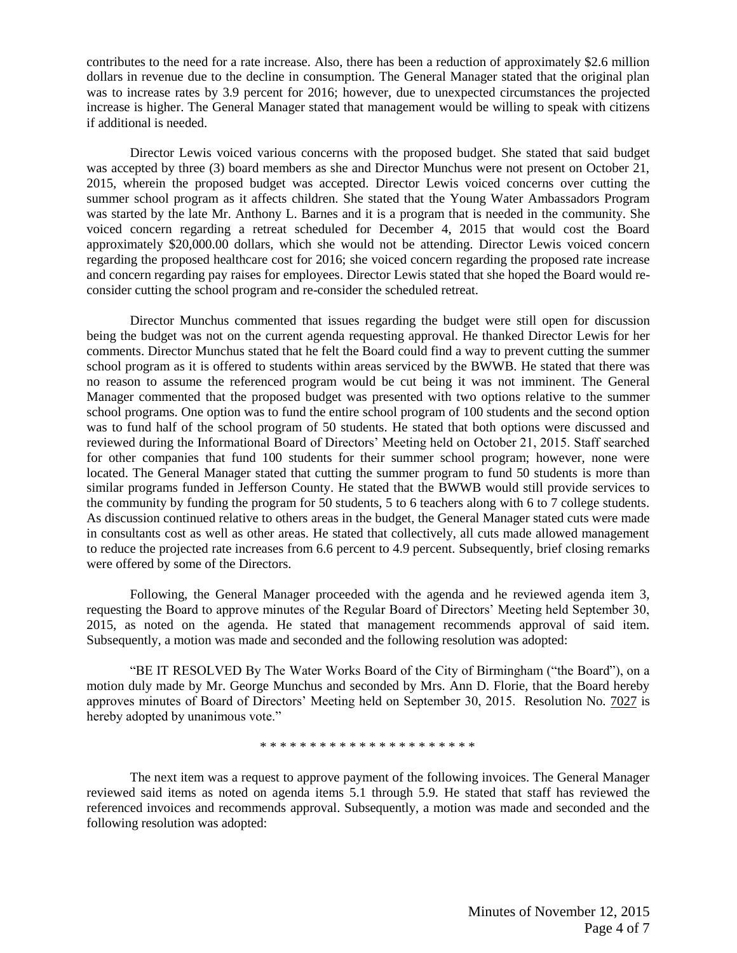contributes to the need for a rate increase. Also, there has been a reduction of approximately \$2.6 million dollars in revenue due to the decline in consumption. The General Manager stated that the original plan was to increase rates by 3.9 percent for 2016; however, due to unexpected circumstances the projected increase is higher. The General Manager stated that management would be willing to speak with citizens if additional is needed.

Director Lewis voiced various concerns with the proposed budget. She stated that said budget was accepted by three (3) board members as she and Director Munchus were not present on October 21, 2015, wherein the proposed budget was accepted. Director Lewis voiced concerns over cutting the summer school program as it affects children. She stated that the Young Water Ambassadors Program was started by the late Mr. Anthony L. Barnes and it is a program that is needed in the community. She voiced concern regarding a retreat scheduled for December 4, 2015 that would cost the Board approximately \$20,000.00 dollars, which she would not be attending. Director Lewis voiced concern regarding the proposed healthcare cost for 2016; she voiced concern regarding the proposed rate increase and concern regarding pay raises for employees. Director Lewis stated that she hoped the Board would reconsider cutting the school program and re-consider the scheduled retreat.

Director Munchus commented that issues regarding the budget were still open for discussion being the budget was not on the current agenda requesting approval. He thanked Director Lewis for her comments. Director Munchus stated that he felt the Board could find a way to prevent cutting the summer school program as it is offered to students within areas serviced by the BWWB. He stated that there was no reason to assume the referenced program would be cut being it was not imminent. The General Manager commented that the proposed budget was presented with two options relative to the summer school programs. One option was to fund the entire school program of 100 students and the second option was to fund half of the school program of 50 students. He stated that both options were discussed and reviewed during the Informational Board of Directors' Meeting held on October 21, 2015. Staff searched for other companies that fund 100 students for their summer school program; however, none were located. The General Manager stated that cutting the summer program to fund 50 students is more than similar programs funded in Jefferson County. He stated that the BWWB would still provide services to the community by funding the program for 50 students, 5 to 6 teachers along with 6 to 7 college students. As discussion continued relative to others areas in the budget, the General Manager stated cuts were made in consultants cost as well as other areas. He stated that collectively, all cuts made allowed management to reduce the projected rate increases from 6.6 percent to 4.9 percent. Subsequently, brief closing remarks were offered by some of the Directors.

Following, the General Manager proceeded with the agenda and he reviewed agenda item 3, requesting the Board to approve minutes of the Regular Board of Directors' Meeting held September 30, 2015, as noted on the agenda. He stated that management recommends approval of said item. Subsequently, a motion was made and seconded and the following resolution was adopted:

"BE IT RESOLVED By The Water Works Board of the City of Birmingham ("the Board"), on a motion duly made by Mr. George Munchus and seconded by Mrs. Ann D. Florie, that the Board hereby approves minutes of Board of Directors' Meeting held on September 30, 2015. Resolution No. 7027 is hereby adopted by unanimous vote."

\* \* \* \* \* \* \* \* \* \* \* \* \* \* \* \* \* \* \* \* \* \*

The next item was a request to approve payment of the following invoices. The General Manager reviewed said items as noted on agenda items 5.1 through 5.9. He stated that staff has reviewed the referenced invoices and recommends approval. Subsequently, a motion was made and seconded and the following resolution was adopted: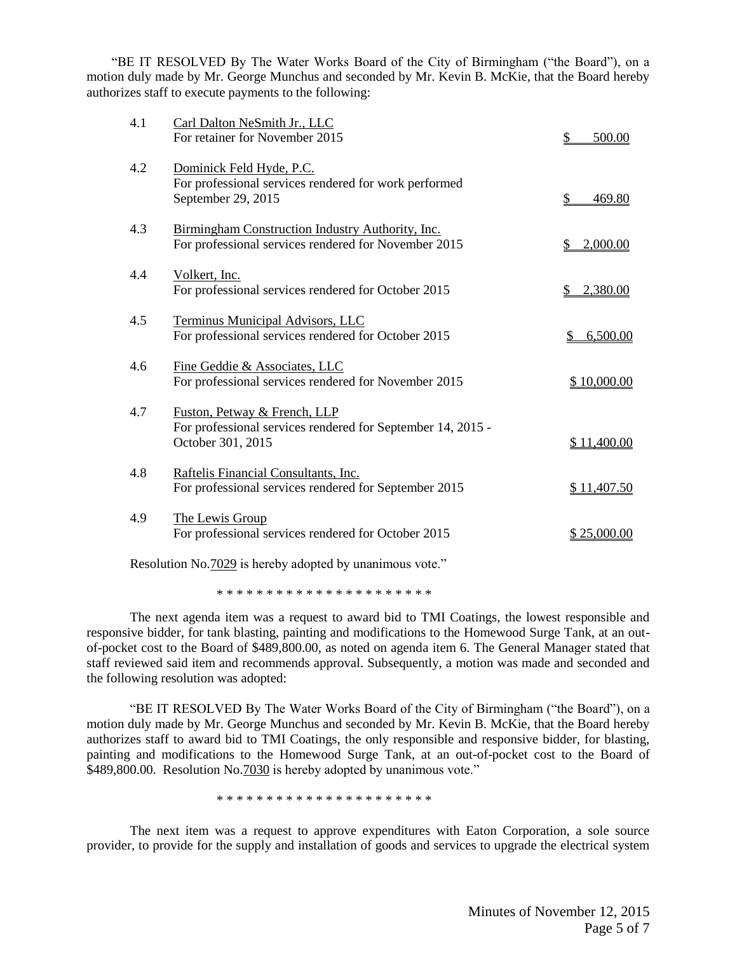"BE IT RESOLVED By The Water Works Board of the City of Birmingham ("the Board"), on a motion duly made by Mr. George Munchus and seconded by Mr. Kevin B. McKie, that the Board hereby authorizes staff to execute payments to the following:

| 4.1 | Carl Dalton NeSmith Jr., LLC<br>For retainer for November 2015                                                   | 500.00         |
|-----|------------------------------------------------------------------------------------------------------------------|----------------|
| 4.2 | Dominick Feld Hyde, P.C.<br>For professional services rendered for work performed<br>September 29, 2015          | 469.80         |
| 4.3 | Birmingham Construction Industry Authority, Inc.<br>For professional services rendered for November 2015         | 2,000.00<br>S  |
| 4.4 | Volkert, Inc.<br>For professional services rendered for October 2015                                             | 2,380.00       |
| 4.5 | Terminus Municipal Advisors, LLC<br>For professional services rendered for October 2015                          | 6,500.00<br>\$ |
| 4.6 | Fine Geddie & Associates, LLC<br>For professional services rendered for November 2015                            | \$10,000.00    |
| 4.7 | Fuston, Petway & French, LLP<br>For professional services rendered for September 14, 2015 -<br>October 301, 2015 | \$11,400.00    |
| 4.8 | Raftelis Financial Consultants, Inc.<br>For professional services rendered for September 2015                    | \$11,407.50    |
| 4.9 | The Lewis Group<br>For professional services rendered for October 2015                                           | \$25,000.00    |
|     |                                                                                                                  |                |

Resolution No.7029 is hereby adopted by unanimous vote."

\* \* \* \* \* \* \* \* \* \* \* \* \* \* \* \* \* \* \* \* \* \*

The next agenda item was a request to award bid to TMI Coatings, the lowest responsible and responsive bidder, for tank blasting, painting and modifications to the Homewood Surge Tank, at an outof-pocket cost to the Board of \$489,800.00, as noted on agenda item 6. The General Manager stated that staff reviewed said item and recommends approval. Subsequently, a motion was made and seconded and the following resolution was adopted:

"BE IT RESOLVED By The Water Works Board of the City of Birmingham ("the Board"), on a motion duly made by Mr. George Munchus and seconded by Mr. Kevin B. McKie, that the Board hereby authorizes staff to award bid to TMI Coatings, the only responsible and responsive bidder, for blasting, painting and modifications to the Homewood Surge Tank, at an out-of-pocket cost to the Board of \$489,800.00. Resolution No.7030 is hereby adopted by unanimous vote."

\* \* \* \* \* \* \* \* \* \* \* \* \* \* \* \* \* \* \* \* \* \*

The next item was a request to approve expenditures with Eaton Corporation, a sole source provider, to provide for the supply and installation of goods and services to upgrade the electrical system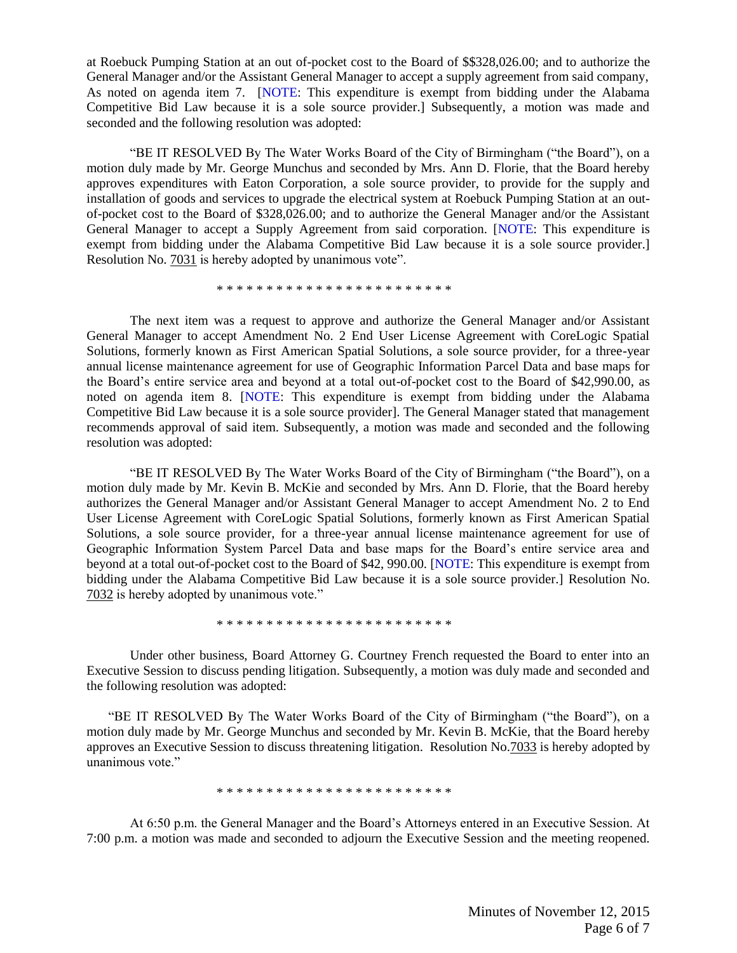at Roebuck Pumping Station at an out of-pocket cost to the Board of \$\$328,026.00; and to authorize the General Manager and/or the Assistant General Manager to accept a supply agreement from said company, As noted on agenda item 7. [NOTE: This expenditure is exempt from bidding under the Alabama Competitive Bid Law because it is a sole source provider.] Subsequently, a motion was made and seconded and the following resolution was adopted:

"BE IT RESOLVED By The Water Works Board of the City of Birmingham ("the Board"), on a motion duly made by Mr. George Munchus and seconded by Mrs. Ann D. Florie, that the Board hereby approves expenditures with Eaton Corporation, a sole source provider, to provide for the supply and installation of goods and services to upgrade the electrical system at Roebuck Pumping Station at an outof-pocket cost to the Board of \$328,026.00; and to authorize the General Manager and/or the Assistant General Manager to accept a Supply Agreement from said corporation. [NOTE: This expenditure is exempt from bidding under the Alabama Competitive Bid Law because it is a sole source provider.] Resolution No. 7031 is hereby adopted by unanimous vote".

\* \* \* \* \* \* \* \* \* \* \* \* \* \* \* \* \* \* \* \* \* \* \* \*

The next item was a request to approve and authorize the General Manager and/or Assistant General Manager to accept Amendment No. 2 End User License Agreement with CoreLogic Spatial Solutions, formerly known as First American Spatial Solutions, a sole source provider, for a three-year annual license maintenance agreement for use of Geographic Information Parcel Data and base maps for the Board's entire service area and beyond at a total out-of-pocket cost to the Board of \$42,990.00, as noted on agenda item 8. [NOTE: This expenditure is exempt from bidding under the Alabama Competitive Bid Law because it is a sole source provider]. The General Manager stated that management recommends approval of said item. Subsequently, a motion was made and seconded and the following resolution was adopted:

"BE IT RESOLVED By The Water Works Board of the City of Birmingham ("the Board"), on a motion duly made by Mr. Kevin B. McKie and seconded by Mrs. Ann D. Florie, that the Board hereby authorizes the General Manager and/or Assistant General Manager to accept Amendment No. 2 to End User License Agreement with CoreLogic Spatial Solutions, formerly known as First American Spatial Solutions, a sole source provider, for a three-year annual license maintenance agreement for use of Geographic Information System Parcel Data and base maps for the Board's entire service area and beyond at a total out-of-pocket cost to the Board of \$42, 990.00. [NOTE: This expenditure is exempt from bidding under the Alabama Competitive Bid Law because it is a sole source provider.] Resolution No. 7032 is hereby adopted by unanimous vote."

\* \* \* \* \* \* \* \* \* \* \* \* \* \* \* \* \* \* \* \* \* \* \* \*

Under other business, Board Attorney G. Courtney French requested the Board to enter into an Executive Session to discuss pending litigation. Subsequently, a motion was duly made and seconded and the following resolution was adopted:

"BE IT RESOLVED By The Water Works Board of the City of Birmingham ("the Board"), on a motion duly made by Mr. George Munchus and seconded by Mr. Kevin B. McKie, that the Board hereby approves an Executive Session to discuss threatening litigation. Resolution No.7033 is hereby adopted by unanimous vote."

\* \* \* \* \* \* \* \* \* \* \* \* \* \* \* \* \* \* \* \* \* \* \* \*

At 6:50 p.m. the General Manager and the Board's Attorneys entered in an Executive Session. At 7:00 p.m. a motion was made and seconded to adjourn the Executive Session and the meeting reopened.